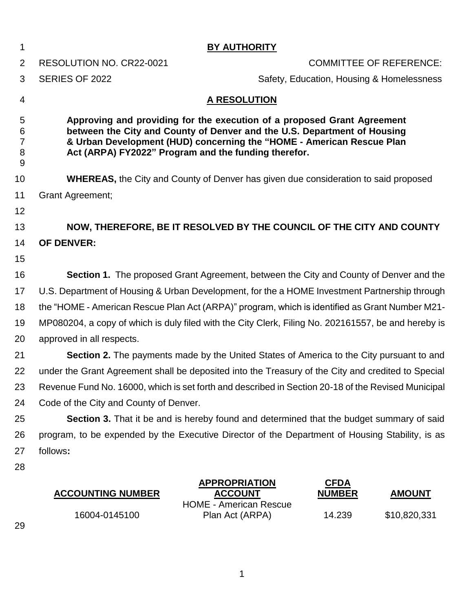| 1                                  |                                                                                                                                                                                                                                                                                      | <b>BY AUTHORITY</b>                                                     |                              |                                           |  |  |
|------------------------------------|--------------------------------------------------------------------------------------------------------------------------------------------------------------------------------------------------------------------------------------------------------------------------------------|-------------------------------------------------------------------------|------------------------------|-------------------------------------------|--|--|
| 2                                  | RESOLUTION NO. CR22-0021                                                                                                                                                                                                                                                             |                                                                         |                              | <b>COMMITTEE OF REFERENCE:</b>            |  |  |
| 3                                  | SERIES OF 2022                                                                                                                                                                                                                                                                       |                                                                         |                              | Safety, Education, Housing & Homelessness |  |  |
| 4                                  |                                                                                                                                                                                                                                                                                      | <b>A RESOLUTION</b>                                                     |                              |                                           |  |  |
| 5<br>6<br>$\overline{7}$<br>8<br>9 | Approving and providing for the execution of a proposed Grant Agreement<br>between the City and County of Denver and the U.S. Department of Housing<br>& Urban Development (HUD) concerning the "HOME - American Rescue Plan<br>Act (ARPA) FY2022" Program and the funding therefor. |                                                                         |                              |                                           |  |  |
| 10                                 | <b>WHEREAS, the City and County of Denver has given due consideration to said proposed</b>                                                                                                                                                                                           |                                                                         |                              |                                           |  |  |
| 11                                 | <b>Grant Agreement;</b>                                                                                                                                                                                                                                                              |                                                                         |                              |                                           |  |  |
| 12                                 |                                                                                                                                                                                                                                                                                      |                                                                         |                              |                                           |  |  |
| 13                                 | NOW, THEREFORE, BE IT RESOLVED BY THE COUNCIL OF THE CITY AND COUNTY                                                                                                                                                                                                                 |                                                                         |                              |                                           |  |  |
| 14                                 | <b>OF DENVER:</b>                                                                                                                                                                                                                                                                    |                                                                         |                              |                                           |  |  |
| 15                                 |                                                                                                                                                                                                                                                                                      |                                                                         |                              |                                           |  |  |
| 16                                 | <b>Section 1.</b> The proposed Grant Agreement, between the City and County of Denver and the                                                                                                                                                                                        |                                                                         |                              |                                           |  |  |
| 17                                 | U.S. Department of Housing & Urban Development, for the a HOME Investment Partnership through                                                                                                                                                                                        |                                                                         |                              |                                           |  |  |
| 18                                 | the "HOME - American Rescue Plan Act (ARPA)" program, which is identified as Grant Number M21-                                                                                                                                                                                       |                                                                         |                              |                                           |  |  |
| 19                                 | MP080204, a copy of which is duly filed with the City Clerk, Filing No. 202161557, be and hereby is                                                                                                                                                                                  |                                                                         |                              |                                           |  |  |
| 20                                 | approved in all respects.                                                                                                                                                                                                                                                            |                                                                         |                              |                                           |  |  |
| 21                                 | <b>Section 2.</b> The payments made by the United States of America to the City pursuant to and                                                                                                                                                                                      |                                                                         |                              |                                           |  |  |
| 22                                 | under the Grant Agreement shall be deposited into the Treasury of the City and credited to Special                                                                                                                                                                                   |                                                                         |                              |                                           |  |  |
| 23                                 | Revenue Fund No. 16000, which is set forth and described in Section 20-18 of the Revised Municipal                                                                                                                                                                                   |                                                                         |                              |                                           |  |  |
| 24                                 | Code of the City and County of Denver.                                                                                                                                                                                                                                               |                                                                         |                              |                                           |  |  |
| 25                                 | Section 3. That it be and is hereby found and determined that the budget summary of said                                                                                                                                                                                             |                                                                         |                              |                                           |  |  |
| 26                                 | program, to be expended by the Executive Director of the Department of Housing Stability, is as                                                                                                                                                                                      |                                                                         |                              |                                           |  |  |
| 27                                 | follows:                                                                                                                                                                                                                                                                             |                                                                         |                              |                                           |  |  |
| 28                                 |                                                                                                                                                                                                                                                                                      |                                                                         |                              |                                           |  |  |
|                                    | <b>ACCOUNTING NUMBER</b>                                                                                                                                                                                                                                                             | <b>APPROPRIATION</b><br><u>ACCOUNT</u><br><b>HOME - American Rescue</b> | <b>CFDA</b><br><b>NUMBER</b> | <b>AMOUNT</b>                             |  |  |
|                                    | 16004-0145100                                                                                                                                                                                                                                                                        | Plan Act (ARPA)                                                         | 14.239                       | \$10,820,331                              |  |  |